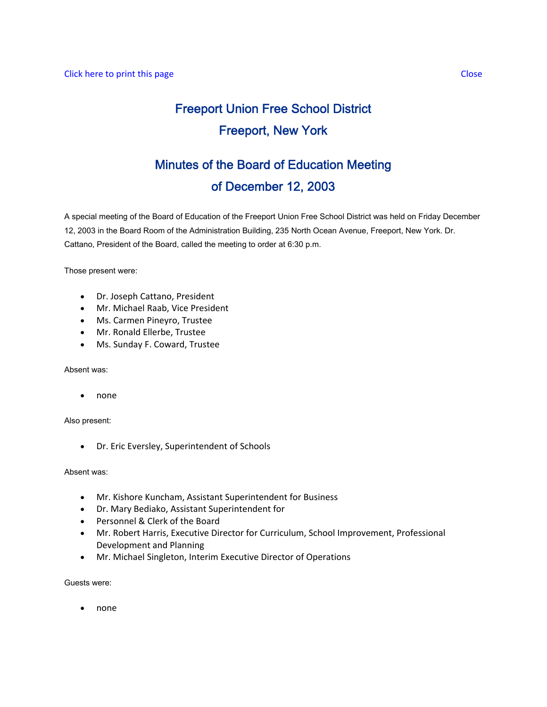# Freeport Union Free School District Freeport, New York

# Minutes of the Board of Education Meeting of December 12, 2003

A special meeting of the Board of Education of the Freeport Union Free School District was held on Friday December 12, 2003 in the Board Room of the Administration Building, 235 North Ocean Avenue, Freeport, New York. Dr. Cattano, President of the Board, called the meeting to order at 6:30 p.m.

Those present were:

- Dr. Joseph Cattano, President
- Mr. Michael Raab, Vice President
- Ms. Carmen Pineyro, Trustee
- Mr. Ronald Ellerbe, Trustee
- Ms. Sunday F. Coward, Trustee

Absent was:

• none

Also present:

• Dr. Eric Eversley, Superintendent of Schools

Absent was:

- Mr. Kishore Kuncham, Assistant Superintendent for Business
- Dr. Mary Bediako, Assistant Superintendent for
- Personnel & Clerk of the Board
- Mr. Robert Harris, Executive Director for Curriculum, School Improvement, Professional Development and Planning
- Mr. Michael Singleton, Interim Executive Director of Operations

Guests were:

• none